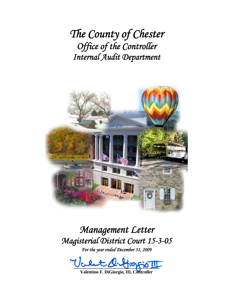*The County of Chester Office of the Controller Internal Audit Department*



# *Management Letter Magisterial District Court 15-3-05*

*For the year ended December 31, 2009* 

 $-100 - 100 - 100$ 

**Valentino F. DiGiorgio, III, Controller**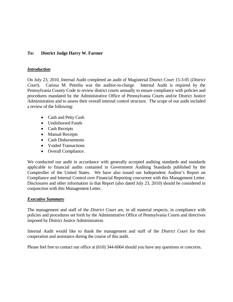## **To: District Judge Harry W. Farmer**

#### *Introduction*

On July 23, 2010, Internal Audit completed an audit of Magisterial District Court 15-3-05 (*District Court*). Carissa M. Petrelia was the auditor-in-charge. Internal Audit is required by the Pennsylvania County Code to review district courts annually to ensure compliance with policies and procedures mandated by the Administrative Office of Pennsylvania Courts and/or District Justice Administration and to assess their overall internal control structure. The scope of our audit included a review of the following:

- Cash and Petty Cash
- **Undisbursed Funds**
- Cash Receipts
- Manual Receipts
- Cash Disbursements
- Voided Transactions
- Overall Compliance.

We conducted our audit in accordance with generally accepted auditing standards and standards applicable to financial audits contained in Government Auditing Standards published by the Comptroller of the United States. We have also issued our Independent Auditor's Report on Compliance and Internal Control over Financial Reporting concurrent with this Management Letter. Disclosures and other information in that Report (also dated July 23, 2010) should be considered in conjunction with this Management Letter.

## *Executive Summary*

The management and staff of the *District Court* are, in all material respects, in compliance with policies and procedures set forth by the Administrative Office of Pennsylvania Courts and directives imposed by District Justice Administration.

Internal Audit would like to thank the management and staff of the *District Court* for their cooperation and assistance during the course of this audit.

Please feel free to contact our office at (610) 344-6064 should you have any questions or concerns.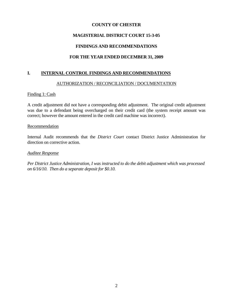## **COUNTY OF CHESTER**

## **MAGISTERIAL DISTRICT COURT 15-3-05**

## **FINDINGS AND RECOMMENDATIONS**

# **FOR THE YEAR ENDED DECEMBER 31, 2009**

## **I. INTERNAL CONTROL FINDINGS AND RECOMMENDATIONS**

## AUTHORIZATION / RECONCILIATION / DOCUMENTATION

## Finding 1: Cash

A credit adjustment did not have a corresponding debit adjustment. The original credit adjustment was due to a defendant being overcharged on their credit card (the system receipt amount was correct; however the amount entered in the credit card machine was incorrect).

#### Recommendation

Internal Audit recommends that the *District Court* contact District Justice Administration for direction on corrective action.

## *Auditee Response*

*Per District Justice Administration, I was instructed to do the debit adjustment which was processed on 6/16/10. Then do a separate deposit for \$0.10.*